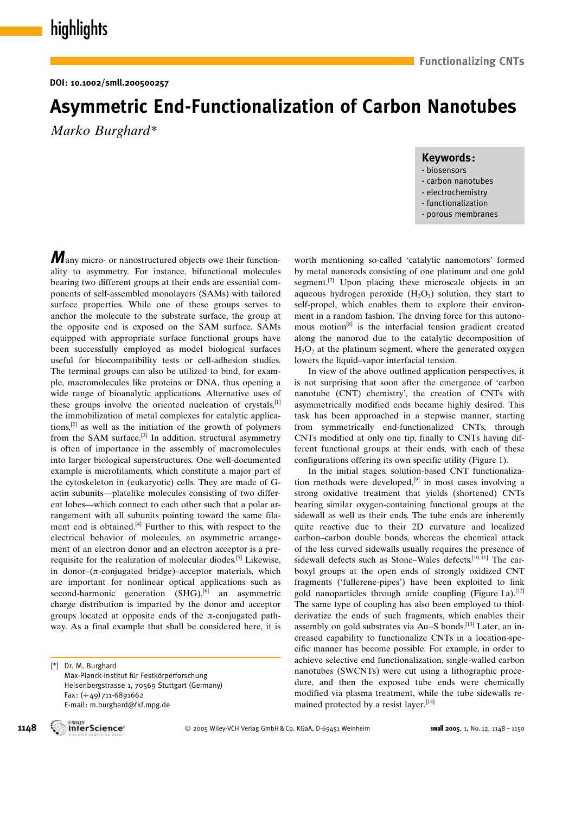Keywords : · biosensors · carbon nanotubes · electrochemistry · functionalization · porous membranes

### DOI: 10.1002/smll.200500257

# Asymmetric End-Functionalization of Carbon Nanotubes

Marko Burghard\*

### Many micro- or nanostructured objects owe their functionality to asymmetry. For instance, bifunctional molecules bearing two different groups at their ends are essential components of self-assembled monolayers (SAMs) with tailored surface properties. While one of these groups serves to anchor the molecule to the substrate surface, the group at the opposite end is exposed on the SAM surface. SAMs equipped with appropriate surface functional groups have been successfully employed as model biological surfaces useful for biocompatibility tests or cell-adhesion studies. The terminal groups can also be utilized to bind, for example, macromolecules like proteins or DNA, thus opening a worth mentioning so-called 'catalytic nanomotors' formed by metal nanorods consisting of one platinum and one gold segment.<sup>[7]</sup> Upon placing these microscale objects in an aqueous hydrogen peroxide  $(H_2O_2)$  solution, they start to self-propel, which enables them to explore their environment in a random fashion. The driving force for this autonomous motion[8] is the interfacial tension gradient created along the nanorod due to the catalytic decomposition of  $H_2O_2$  at the platinum segment, where the generated oxygen lowers the liquid–vapor interfacial tension. In view of the above outlined application perspectives, it is not surprising that soon after the emergence of 'carbon

nanotube (CNT) chemistry', the creation of CNTs with asymmetrically modified ends became highly desired. This task has been approached in a stepwise manner, starting from symmetrically end-functionalized CNTs, through CNTs modified at only one tip, finally to CNTs having different functional groups at their ends, with each of these configurations offering its own specific utility (Figure 1).

In the initial stages, solution-based CNT functionalization methods were developed,[9] in most cases involving a strong oxidative treatment that yields (shortened) CNTs bearing similar oxygen-containing functional groups at the sidewall as well as their ends. The tube ends are inherently quite reactive due to their 2D curvature and localized carbon–carbon double bonds, whereas the chemical attack of the less curved sidewalls usually requires the presence of sidewall defects such as Stone–Wales defects.<sup>[10,11]</sup> The carboxyl groups at the open ends of strongly oxidized CNT fragments ('fullerene-pipes') have been exploited to link gold nanoparticles through amide coupling (Figure 1a).<sup>[12]</sup> The same type of coupling has also been employed to thiolderivatize the ends of such fragments, which enables their assembly on gold substrates via Au-S bonds.<sup>[13]</sup> Later, an increased capability to functionalize CNTs in a location-specific manner has become possible. For example, in order to achieve selective end functionalization, single-walled carbon nanotubes (SWCNTs) were cut using a lithographic procedure, and then the exposed tube ends were chemically modified via plasma treatment, while the tube sidewalls remained protected by a resist layer.<sup>[14]</sup>

electrical behavior of molecules, an asymmetric arrangement of an electron donor and an electron acceptor is a prerequisite for the realization of molecular diodes.[5] Likewise, in donor– $(\pi$ -conjugated bridge)–acceptor materials, which are important for nonlinear optical applications such as second-harmonic generation  $(SHG)$ ,  $[6]$  an asymmetric charge distribution is imparted by the donor and acceptor groups located at opposite ends of the  $\pi$ -conjugated pathway. As a final example that shall be considered here, it is [\*] Dr. M. Burghard

wide range of bioanalytic applications. Alternative uses of these groups involve the oriented nucleation of crystals, $[1]$ the immobilization of metal complexes for catalytic applications, $[2]$  as well as the initiation of the growth of polymers from the SAM surface.<sup>[3]</sup> In addition, structural asymmetry is often of importance in the assembly of macromolecules into larger biological superstructures. One well-documented example is microfilaments, which constitute a major part of the cytoskeleton in (eukaryotic) cells. They are made of Gactin subunits—platelike molecules consisting of two different lobes—which connect to each other such that a polar arrangement with all subunits pointing toward the same filament end is obtained.<sup>[4]</sup> Further to this, with respect to the

Max-Planck-Institut für Festkörperforschung Heisenbergstrasse 1, 70569 Stuttgart (Germany)  $Fax: (+49)$ 711-6891662 E-mail: m.burghard@fkf.mpg.de

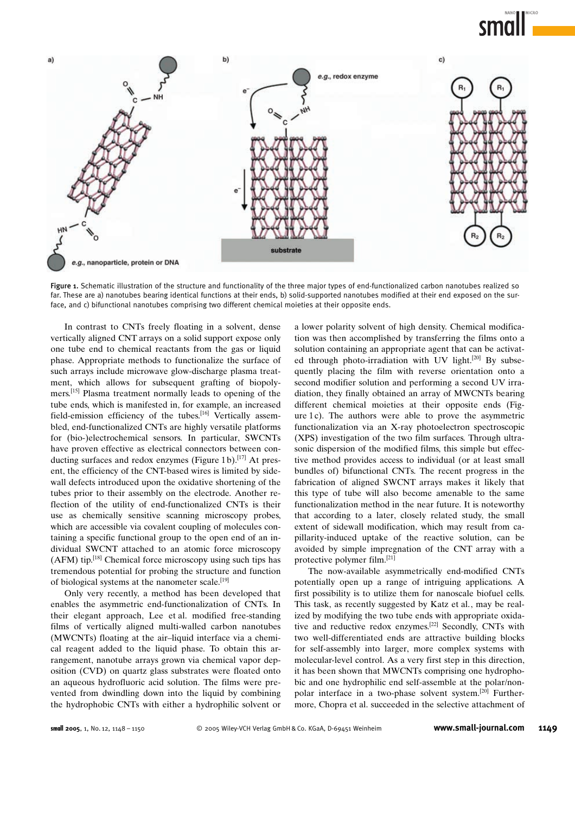

Figure 1. Schematic illustration of the structure and functionality of the three major types of end-functionalized carbon nanotubes realized so far. These are a) nanotubes bearing identical functions at their ends, b) solid-supported nanotubes modified at their end exposed on the surface, and c) bifunctional nanotubes comprising two different chemical moieties at their opposite ends.

In contrast to CNTs freely floating in a solvent, dense vertically aligned CNT arrays on a solid support expose only one tube end to chemical reactants from the gas or liquid phase. Appropriate methods to functionalize the surface of such arrays include microwave glow-discharge plasma treatment, which allows for subsequent grafting of biopolymers.[15] Plasma treatment normally leads to opening of the tube ends, which is manifested in, for example, an increased field-emission efficiency of the tubes.<sup>[16]</sup> Vertically assembled, end-functionalized CNTs are highly versatile platforms for (bio-)electrochemical sensors. In particular, SWCNTs have proven effective as electrical connectors between conducting surfaces and redox enzymes (Figure 1b).<sup>[17]</sup> At present, the efficiency of the CNT-based wires is limited by sidewall defects introduced upon the oxidative shortening of the tubes prior to their assembly on the electrode. Another reflection of the utility of end-functionalized CNTs is their use as chemically sensitive scanning microscopy probes, which are accessible via covalent coupling of molecules containing a specific functional group to the open end of an individual SWCNT attached to an atomic force microscopy (AFM) tip.[18] Chemical force microscopy using such tips has tremendous potential for probing the structure and function of biological systems at the nanometer scale.<sup>[19]</sup>

Only very recently, a method has been developed that enables the asymmetric end-functionalization of CNTs. In their elegant approach, Lee et al. modified free-standing films of vertically aligned multi-walled carbon nanotubes (MWCNTs) floating at the air–liquid interface via a chemical reagent added to the liquid phase. To obtain this arrangement, nanotube arrays grown via chemical vapor deposition (CVD) on quartz glass substrates were floated onto an aqueous hydrofluoric acid solution. The films were prevented from dwindling down into the liquid by combining the hydrophobic CNTs with either a hydrophilic solvent or

a lower polarity solvent of high density. Chemical modification was then accomplished by transferring the films onto a solution containing an appropriate agent that can be activated through photo-irradiation with UV light.<sup>[20]</sup> By subsequently placing the film with reverse orientation onto a second modifier solution and performing a second UV irradiation, they finally obtained an array of MWCNTs bearing different chemical moieties at their opposite ends (Figure 1c). The authors were able to prove the asymmetric functionalization via an X-ray photoelectron spectroscopic (XPS) investigation of the two film surfaces. Through ultrasonic dispersion of the modified films, this simple but effective method provides access to individual (or at least small bundles of) bifunctional CNTs. The recent progress in the fabrication of aligned SWCNT arrays makes it likely that this type of tube will also become amenable to the same functionalization method in the near future. It is noteworthy that according to a later, closely related study, the small extent of sidewall modification, which may result from capillarity-induced uptake of the reactive solution, can be avoided by simple impregnation of the CNT array with a protective polymer film.[21]

The now-available asymmetrically end-modified CNTs potentially open up a range of intriguing applications. A first possibility is to utilize them for nanoscale biofuel cells. This task, as recently suggested by Katz et al., may be realized by modifying the two tube ends with appropriate oxidative and reductive redox enzymes.[22] Secondly, CNTs with two well-differentiated ends are attractive building blocks for self-assembly into larger, more complex systems with molecular-level control. As a very first step in this direction, it has been shown that MWCNTs comprising one hydrophobic and one hydrophilic end self-assemble at the polar/nonpolar interface in a two-phase solvent system.[20] Furthermore, Chopra et al. succeeded in the selective attachment of